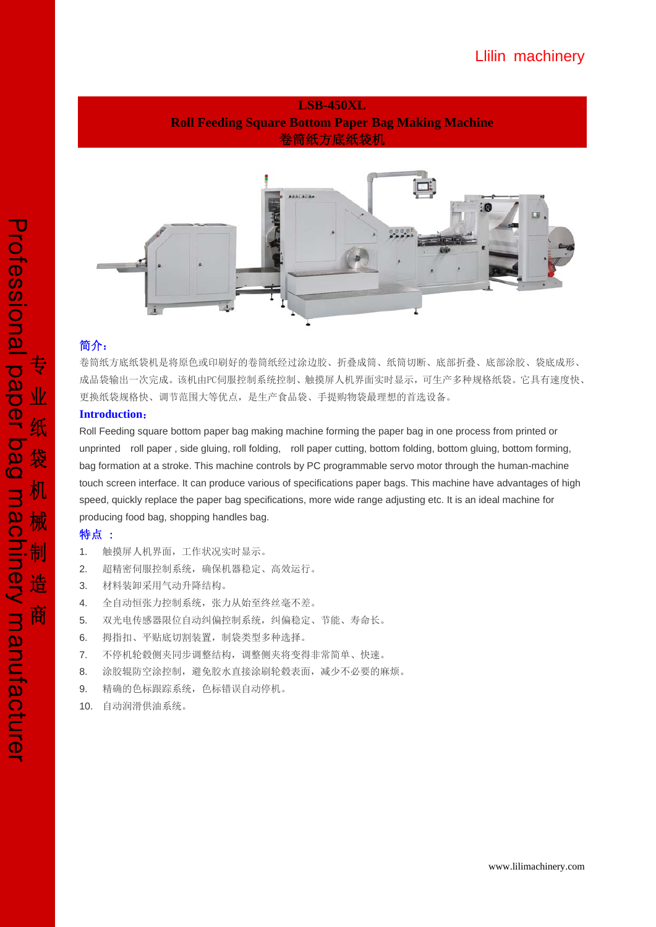## **LSB-450XL Roll Feeding Square Bottom Paper Bag Making Machine**  卷筒纸方底纸袋机



### 简介:

卷筒纸方底纸袋机是将原色或印刷好的卷筒纸经过涂边胶、折叠成筒、纸筒切断、底部折叠、底部涂胶、袋底成形、 成品袋输出一次完成。该机由PC伺服控制系统控制、触摸屏人机界面实时显示,可生产多种规格纸袋。它具有速度快、 更换纸袋规格快、调节范围大等优点,是生产食品袋、手提购物袋最理想的首选设备。

### **Introduction**:

Roll Feeding square bottom paper bag making machine forming the paper bag in one process from printed or unprinted roll paper , side gluing, roll folding, roll paper cutting, bottom folding, bottom gluing, bottom forming, bag formation at a stroke. This machine controls by PC programmable servo motor through the human-machine touch screen interface. It can produce various of specifications paper bags. This machine have advantages of high speed, quickly replace the paper bag specifications, more wide range adjusting etc. It is an ideal machine for producing food bag, shopping handles bag.

### 特点 :

- 1. 触摸屏人机界面,工作状况实时显示。
- 2. 超精密伺服控制系统,确保机器稳定、高效运行。
- 3. 材料装卸采用气动升降结构。
- 4. 全自动恒张力控制系统,张力从始至终丝毫不差。
- 5. 双光电传感器限位自动纠偏控制系统,纠偏稳定、节能、寿命长。
- 6. 拇指扣、平贴底切割装置,制袋类型多种选择。
- 7. 不停机轮毂侧夹同步调整结构,调整侧夹将变得非常简单、快速。
- 8. 涂胶辊防空涂控制,避免胶水直接涂刷轮毂表面,减少不必要的麻烦。
- 9. 精确的色标跟踪系统,色标错误自动停机。
- 10. 自动润滑供油系统。